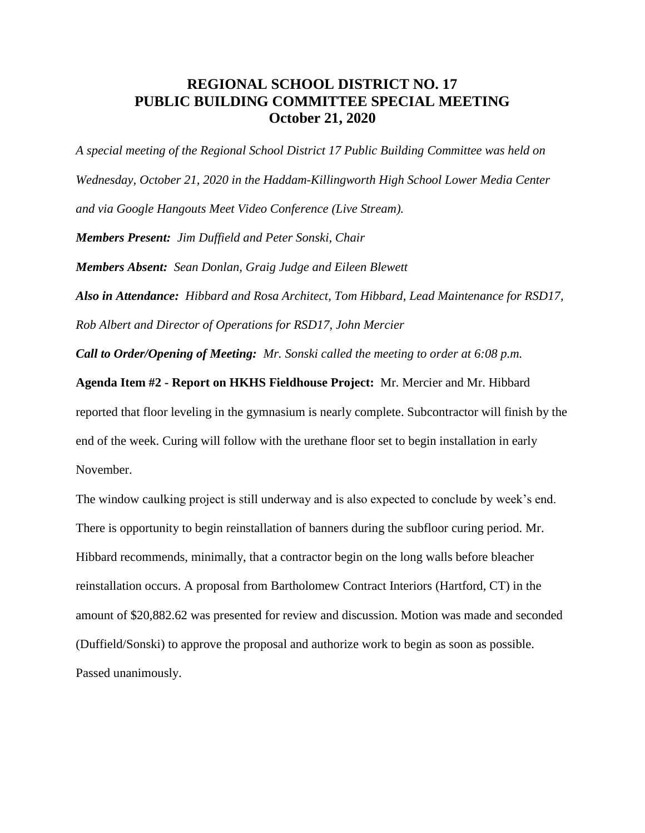## **REGIONAL SCHOOL DISTRICT NO. 17 PUBLIC BUILDING COMMITTEE SPECIAL MEETING October 21, 2020**

*A special meeting of the Regional School District 17 Public Building Committee was held on Wednesday, October 21, 2020 in the Haddam-Killingworth High School Lower Media Center and via Google Hangouts Meet Video Conference (Live Stream). Members Present: Jim Duffield and Peter Sonski, Chair Members Absent: Sean Donlan, Graig Judge and Eileen Blewett Also in Attendance: Hibbard and Rosa Architect, Tom Hibbard, Lead Maintenance for RSD17, Rob Albert and Director of Operations for RSD17, John Mercier*

*Call to Order/Opening of Meeting: Mr. Sonski called the meeting to order at 6:08 p.m.*

**Agenda Item #2 - Report on HKHS Fieldhouse Project:** Mr. Mercier and Mr. Hibbard reported that floor leveling in the gymnasium is nearly complete. Subcontractor will finish by the end of the week. Curing will follow with the urethane floor set to begin installation in early November.

The window caulking project is still underway and is also expected to conclude by week's end. There is opportunity to begin reinstallation of banners during the subfloor curing period. Mr. Hibbard recommends, minimally, that a contractor begin on the long walls before bleacher reinstallation occurs. A proposal from Bartholomew Contract Interiors (Hartford, CT) in the amount of \$20,882.62 was presented for review and discussion. Motion was made and seconded (Duffield/Sonski) to approve the proposal and authorize work to begin as soon as possible. Passed unanimously.